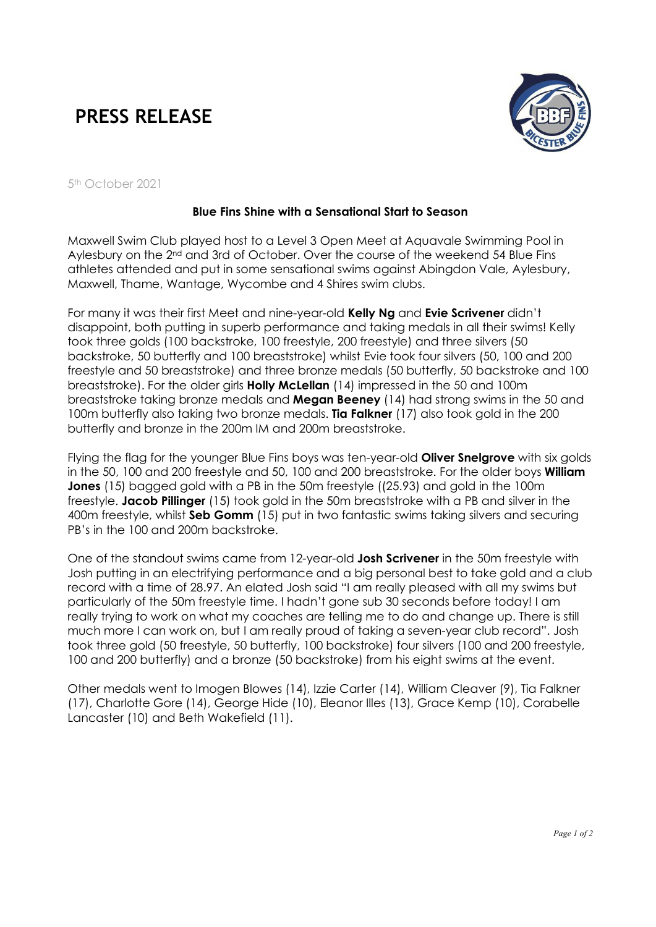## PRESS RELEASE



5th October 2021

## Blue Fins Shine with a Sensational Start to Season

Maxwell Swim Club played host to a Level 3 Open Meet at Aquavale Swimming Pool in Aylesbury on the 2<sup>nd</sup> and 3rd of October. Over the course of the weekend 54 Blue Fins athletes attended and put in some sensational swims against Abingdon Vale, Aylesbury, Maxwell, Thame, Wantage, Wycombe and 4 Shires swim clubs.

For many it was their first Meet and nine-year-old Kelly Ng and Evie Scrivener didn't disappoint, both putting in superb performance and taking medals in all their swims! Kelly took three golds (100 backstroke, 100 freestyle, 200 freestyle) and three silvers (50 backstroke, 50 butterfly and 100 breaststroke) whilst Evie took four silvers (50, 100 and 200 freestyle and 50 breaststroke) and three bronze medals (50 butterfly, 50 backstroke and 100 breaststroke). For the older girls **Holly McLellan** (14) impressed in the 50 and 100m breaststroke taking bronze medals and Megan Beeney (14) had strong swims in the 50 and 100m butterfly also taking two bronze medals. Tia Falkner (17) also took gold in the 200 butterfly and bronze in the 200m IM and 200m breaststroke.

Flying the flag for the younger Blue Fins boys was ten-year-old **Oliver Snelgrove** with six golds in the 50, 100 and 200 freestyle and 50, 100 and 200 breaststroke. For the older boys **William Jones** (15) bagged gold with a PB in the 50m freestyle ((25.93) and gold in the 100m freestyle. Jacob Pillinger (15) took gold in the 50m breaststroke with a PB and silver in the 400m freestyle, whilst Seb Gomm (15) put in two fantastic swims taking silvers and securing PB's in the 100 and 200m backstroke.

One of the standout swims came from 12-year-old Josh Scrivener in the 50m freestyle with Josh putting in an electrifying performance and a big personal best to take gold and a club record with a time of 28.97. An elated Josh said "I am really pleased with all my swims but particularly of the 50m freestyle time. I hadn't gone sub 30 seconds before today! I am really trying to work on what my coaches are telling me to do and change up. There is still much more I can work on, but I am really proud of taking a seven-year club record". Josh took three gold (50 freestyle, 50 butterfly, 100 backstroke) four silvers (100 and 200 freestyle, 100 and 200 butterfly) and a bronze (50 backstroke) from his eight swims at the event.

Other medals went to Imogen Blowes (14), Izzie Carter (14), William Cleaver (9), Tia Falkner (17), Charlotte Gore (14), George Hide (10), Eleanor Illes (13), Grace Kemp (10), Corabelle Lancaster (10) and Beth Wakefield (11).